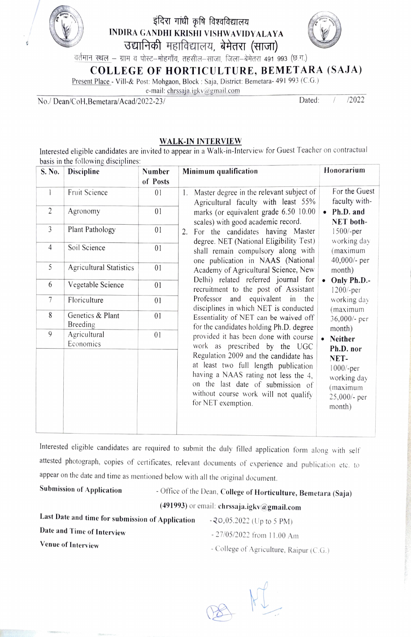

# इंदिरा गांधी कृषि विश्वविद्यालय INDIRA GANDHI KRISHI VISHWAVIDYALAYA



∕∕<br>बर्तमान स्थल – ग्राम व पोस्ट–मोहगाँव, तहसील–साजा, जिला–बेमेतरा 491 993 (छ.ग.)

COLLEGE OF HORTICULTURE, BEMETARA (SAJA)

Present Place - Vill-& Post: Mohgaon, Block: Saja, District: Bemetara- 491 993 (C.G.)

e-mail: chrssaja.igkv@gmail.com

No./Dean/CoH.Bemetara/Acad/2022-23/ Dated: / /2022

#### WALK-IN INTERVIEW

Interested eligible candidates are invited to appear in a Walk-in-Interview for Guest Teacher on contractual

|                |                                | Number         | Minimum qualification                          | Honorarium             |
|----------------|--------------------------------|----------------|------------------------------------------------|------------------------|
| S. No.         | Discipline                     |                |                                                |                        |
|                |                                | of Posts       |                                                |                        |
| 1              | Fruit Science                  | $\Omega$       | Master degree in the relevant subject of<br>1. | For the Guest          |
|                |                                |                | Agricultural faculty with least 55%            | faculty with-          |
| $\overline{2}$ | Agronomy                       | 01             | marks (or equivalent grade 6.50 10.00          | Ph.D. and<br>$\bullet$ |
|                |                                |                | scales) with good academic record.             | NET both-              |
| 3              | Plant Pathology                | 01             | For the candidates having Master<br>2.         | $1500/-per$            |
|                |                                |                | degree. NET (National Eligibility Test)        | working day            |
| $\overline{4}$ | Soil Science                   | 01             | shall remain compulsory along with             | (maximum               |
|                |                                |                | one publication in NAAS (National              | 40,000/- per           |
| 5              | <b>Agricultural Statistics</b> | 0 <sub>1</sub> | Academy of Agricultural Science, New           | month)                 |
|                |                                |                | Delhi) related referred journal for            |                        |
| 6              | Vegetable Science              | 01             | recruitment to the post of Assistant           | Only Ph.D.-            |
|                |                                |                |                                                | 1200/-per              |
| 7              | Floriculture                   | 01             | Professor and equivalent in the                | working day            |
| 8              | Genetics & Plant               | 01             | disciplines in which NET is conducted          | (maximum               |
|                | Breeding                       |                | Essentiality of NET can be waived off          | 36,000/- per           |
| 9              | Agricultural                   | 0 <sub>1</sub> | for the candidates holding Ph.D. degree        | month)                 |
|                | Economics                      |                | provided it has been done with course          | <b>Neither</b>         |
|                |                                |                | work as prescribed by the UGC                  | Ph.D. nor              |
|                |                                |                | Regulation 2009 and the candidate has          | NET-                   |
|                |                                |                | at least two full length publication           | $1000/-per$            |
|                |                                |                | having a NAAS rating not less the 4,           | working day            |
|                |                                |                | on the last date of submission of              | (maximum               |
|                |                                |                | without course work will not qualify           | 25,000/- per           |
|                |                                |                | for NET exemption.                             | month)                 |
|                |                                |                |                                                |                        |
|                |                                |                |                                                |                        |

Interested eligible candidates are required to submit the duly filled application form along with self attested photograph, copies of certificates, relevant documents of experience and publication ete. to appear on the date and time as mentioned below with all the original document.

Submission of Application

Office of the Dean, College of Horticulture, Bemetara (Saja)

(491993) or email: ehrssaja.igkv@gmail.com

Last Date and time for submission of Application -20,05.2022 (Up to 5 PM) Date and Time of Interview

- - 27/05/2022 from 11.00 Am
- Venue of Interview **Figure 2018** College of Agriculture, Raipur (C.G.)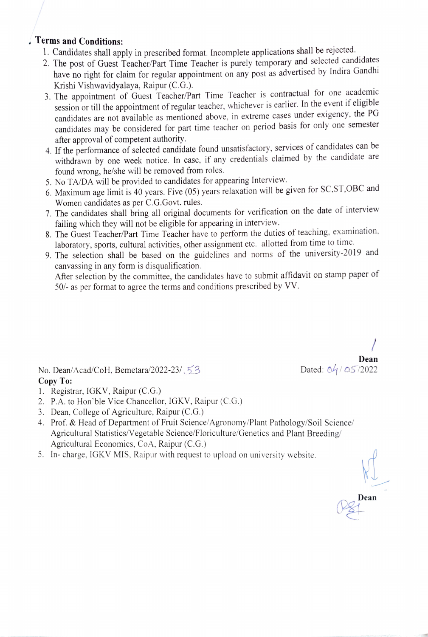- Terms and Conditions:<br>1. Candidates shall apply in prescribed format. Incomplete applications shall be rejected.
	- 2. The post of Guest Teacher/Part Time Teacher is purely temporary and selected candidates have no right for claim for regular appointment on any post as advertised by Indira Gandhi Krishi Vishwavidyalaya, Raipur (C.G.).
	- 3. The appointment of Guest Teacher/Part Time Teacher is contractual for one academic session or till the appointment of regular teacher, whichever is earlier. In the event if eligible candidates are not available as mentioned above, in extreme cases under exigency, the PG candidates may be considered for part time teacher on period basis for only one semester after approval of competent authority.
	- 4. If the performance of selected candidate found unsatisfactory, services of candidates can be withdrawn by one week notice. In case, if any credentials claimed by the candidate are found wrong, he/she will be removed from roles.
	- 5. No TADA will be provided to candidates for appearing Interview.
	- 6. Maximum age limit is 40 years. Five (05) years relaxation will be given for SC,ST,OBC and Women candidates as per C.G.Govt. rules.
	- 7. The candidates shall bring all original documents for verification on the date of interview failing which they will not be eligible for appearing in interview.
	- 8. The Guest Teacher/Part Time Teacher have to perform the duties of teaching, examination, laboratory, sports, cultural activities, other assignment etc. allotted from time to time.
	- 9. The selection shall be based on the guidelines and norms of the university-2019 and canvassing in any form is disqualification.

After selection by the committee, the candidates have to submit affidavit on stamp paper of 50/- as per format to agree the terms and conditions prescribed by VV.

No. Dean/Acad/CoH, Bemetara/2022-23/  $53$ Copy To:

1. Registrar, IGKV, Raipur (C.G.)

- 2. P.A. to Hon'ble Vice Chancellor, IGKV, Raipur (C.G.)
- 3. Dean, College of Agriculture, Raipur (C.G.)
- 4. Prof. & Head of Department of Fruit Science/Agronomy/Plant Pathology/Soil Science/ Agricultural Statistics/Vegetable Science/Floriculture/Genetics and Plant Breeding/ Agricultural Economics, CoA, Raipur (C.G.)
- 5. In-charge, 1GKV MIS, Raipur with request to upload on university website.

Dean

Dean<br>Dated:  $64/05/2022$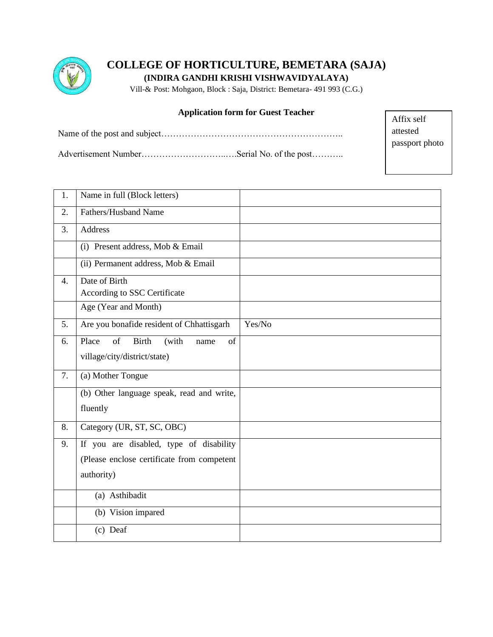

**COLLEGE OF HORTICULTURE, BEMETARA (SAJA)**

**(INDIRA GANDHI KRISHI VISHWAVIDYALAYA)**

Vill-& Post: Mohgaon, Block : Saja, District: Bemetara- 491 993 (C.G.)

### **Application form for Guest Teacher**

Name of the post and subject……………………………………………………..

Affix self attested passport photo

Advertisement Number………………………..….Serial No. of the post………..

| 1. | Name in full (Block letters)                                                                        |        |
|----|-----------------------------------------------------------------------------------------------------|--------|
| 2. | Fathers/Husband Name                                                                                |        |
| 3. | Address                                                                                             |        |
|    | (i) Present address, Mob & Email                                                                    |        |
|    | (ii) Permanent address, Mob & Email                                                                 |        |
| 4. | Date of Birth<br>According to SSC Certificate                                                       |        |
|    | Age (Year and Month)                                                                                |        |
| 5. | Are you bonafide resident of Chhattisgarh                                                           | Yes/No |
| 6. | of<br><b>Birth</b><br>Place<br>(with<br>of<br>name<br>village/city/district/state)                  |        |
| 7. | (a) Mother Tongue                                                                                   |        |
|    | (b) Other language speak, read and write,<br>fluently                                               |        |
| 8. | Category (UR, ST, SC, OBC)                                                                          |        |
| 9. | If you are disabled, type of disability<br>(Please enclose certificate from competent<br>authority) |        |
|    | (a) Asthibadit                                                                                      |        |
|    | (b) Vision impared                                                                                  |        |
|    | $(c)$ Deaf                                                                                          |        |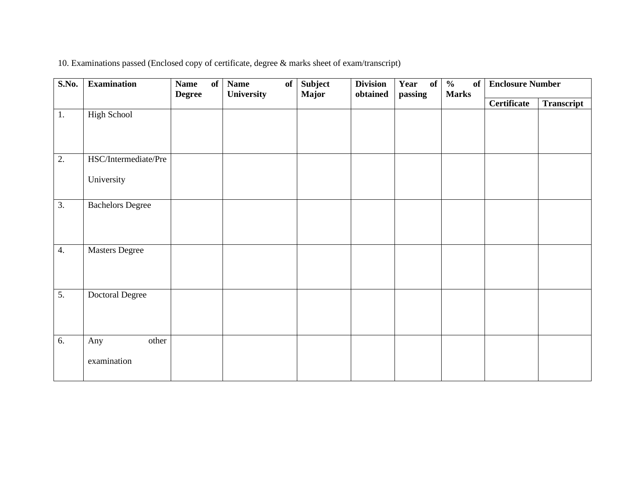| 10. Examinations passed (Enclosed copy of certificate, degree & marks sheet of exam/transcript) |  |
|-------------------------------------------------------------------------------------------------|--|
|                                                                                                 |  |

| S.No.            | <b>Examination</b>      | <b>Name</b><br><b>Degree</b> | of | <b>Name</b><br>of<br>University | Subject<br><b>Major</b> | <b>Division</b><br>obtained | Year of<br>passing | $\overline{\frac{0}{0}}$<br><b>of</b><br><b>Marks</b> | <b>Enclosure Number</b> |            |
|------------------|-------------------------|------------------------------|----|---------------------------------|-------------------------|-----------------------------|--------------------|-------------------------------------------------------|-------------------------|------------|
|                  |                         |                              |    |                                 |                         |                             |                    |                                                       | <b>Certificate</b>      | Transcript |
| 1.               | <b>High School</b>      |                              |    |                                 |                         |                             |                    |                                                       |                         |            |
|                  |                         |                              |    |                                 |                         |                             |                    |                                                       |                         |            |
|                  |                         |                              |    |                                 |                         |                             |                    |                                                       |                         |            |
| $\overline{2}$ . | HSC/Intermediate/Pre    |                              |    |                                 |                         |                             |                    |                                                       |                         |            |
|                  | University              |                              |    |                                 |                         |                             |                    |                                                       |                         |            |
|                  |                         |                              |    |                                 |                         |                             |                    |                                                       |                         |            |
| $\overline{3}$ . | <b>Bachelors Degree</b> |                              |    |                                 |                         |                             |                    |                                                       |                         |            |
|                  |                         |                              |    |                                 |                         |                             |                    |                                                       |                         |            |
|                  |                         |                              |    |                                 |                         |                             |                    |                                                       |                         |            |
| $\overline{4}$ . | <b>Masters Degree</b>   |                              |    |                                 |                         |                             |                    |                                                       |                         |            |
|                  |                         |                              |    |                                 |                         |                             |                    |                                                       |                         |            |
|                  |                         |                              |    |                                 |                         |                             |                    |                                                       |                         |            |
| $\overline{5}$ . | Doctoral Degree         |                              |    |                                 |                         |                             |                    |                                                       |                         |            |
|                  |                         |                              |    |                                 |                         |                             |                    |                                                       |                         |            |
|                  |                         |                              |    |                                 |                         |                             |                    |                                                       |                         |            |
| $\overline{6}$ . | other<br>Any            |                              |    |                                 |                         |                             |                    |                                                       |                         |            |
|                  | examination             |                              |    |                                 |                         |                             |                    |                                                       |                         |            |
|                  |                         |                              |    |                                 |                         |                             |                    |                                                       |                         |            |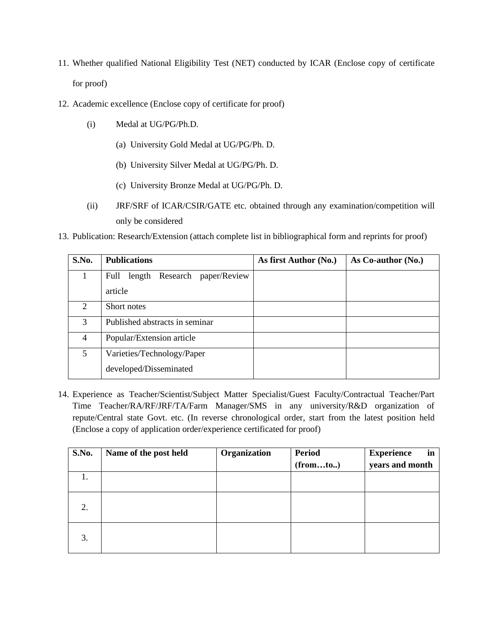- 11. Whether qualified National Eligibility Test (NET) conducted by ICAR (Enclose copy of certificate for proof)
- 12. Academic excellence (Enclose copy of certificate for proof)
	- (i) Medal at UG/PG/Ph.D.
		- (a) University Gold Medal at UG/PG/Ph. D.
		- (b) University Silver Medal at UG/PG/Ph. D.
		- (c) University Bronze Medal at UG/PG/Ph. D.
	- (ii) JRF/SRF of ICAR/CSIR/GATE etc. obtained through any examination/competition will only be considered
- 13. Publication: Research/Extension (attach complete list in bibliographical form and reprints for proof)

| S.No.                       | <b>Publications</b>                  | As first Author (No.) | As Co-author (No.) |
|-----------------------------|--------------------------------------|-----------------------|--------------------|
|                             | length Research paper/Review<br>Full |                       |                    |
|                             | article                              |                       |                    |
| $\mathcal{D}_{\mathcal{L}}$ | Short notes                          |                       |                    |
| 3                           | Published abstracts in seminar       |                       |                    |
| 4                           | Popular/Extension article            |                       |                    |
| 5 <sup>5</sup>              | Varieties/Technology/Paper           |                       |                    |
|                             | developed/Disseminated               |                       |                    |

14. Experience as Teacher/Scientist/Subject Matter Specialist/Guest Faculty/Contractual Teacher/Part Time Teacher/RA/RF/JRF/TA/Farm Manager/SMS in any university/R&D organization of repute/Central state Govt. etc. (In reverse chronological order, start from the latest position held (Enclose a copy of application order/experience certificated for proof)

| S.No. | Name of the post held | Organization | <b>Period</b><br>(fromto.) | <b>Experience</b><br>in<br>years and month |
|-------|-----------------------|--------------|----------------------------|--------------------------------------------|
| 1.    |                       |              |                            |                                            |
| 2.    |                       |              |                            |                                            |
| 3.    |                       |              |                            |                                            |